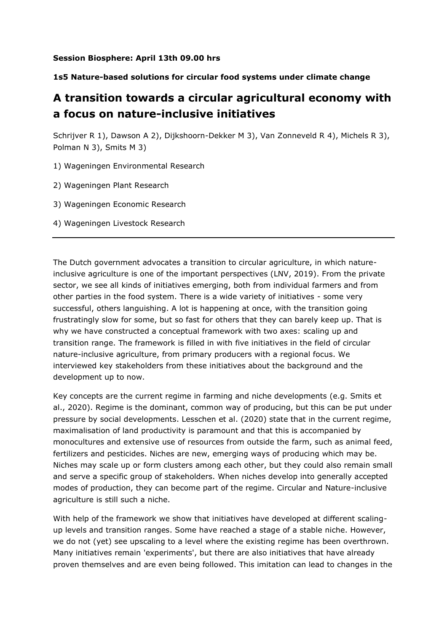## **Session Biosphere: April 13th 09.00 hrs**

## **1s5 Nature-based solutions for circular food systems under climate change**

## **A transition towards a circular agricultural economy with a focus on nature-inclusive initiatives**

Schrijver R 1), Dawson A 2), Dijkshoorn-Dekker M 3), Van Zonneveld R 4), Michels R 3), Polman N 3), Smits M 3)

- 1) Wageningen Environmental Research
- 2) Wageningen Plant Research
- 3) Wageningen Economic Research
- 4) Wageningen Livestock Research

The Dutch government advocates a transition to circular agriculture, in which natureinclusive agriculture is one of the important perspectives (LNV, 2019). From the private sector, we see all kinds of initiatives emerging, both from individual farmers and from other parties in the food system. There is a wide variety of initiatives - some very successful, others languishing. A lot is happening at once, with the transition going frustratingly slow for some, but so fast for others that they can barely keep up. That is why we have constructed a conceptual framework with two axes: scaling up and transition range. The framework is filled in with five initiatives in the field of circular nature-inclusive agriculture, from primary producers with a regional focus. We interviewed key stakeholders from these initiatives about the background and the development up to now.

Key concepts are the current regime in farming and niche developments (e.g. Smits et al., 2020). Regime is the dominant, common way of producing, but this can be put under pressure by social developments. Lesschen et al. (2020) state that in the current regime, maximalisation of land productivity is paramount and that this is accompanied by monocultures and extensive use of resources from outside the farm, such as animal feed, fertilizers and pesticides. Niches are new, emerging ways of producing which may be. Niches may scale up or form clusters among each other, but they could also remain small and serve a specific group of stakeholders. When niches develop into generally accepted modes of production, they can become part of the regime. Circular and Nature-inclusive agriculture is still such a niche.

With help of the framework we show that initiatives have developed at different scalingup levels and transition ranges. Some have reached a stage of a stable niche. However, we do not (yet) see upscaling to a level where the existing regime has been overthrown. Many initiatives remain 'experiments', but there are also initiatives that have already proven themselves and are even being followed. This imitation can lead to changes in the